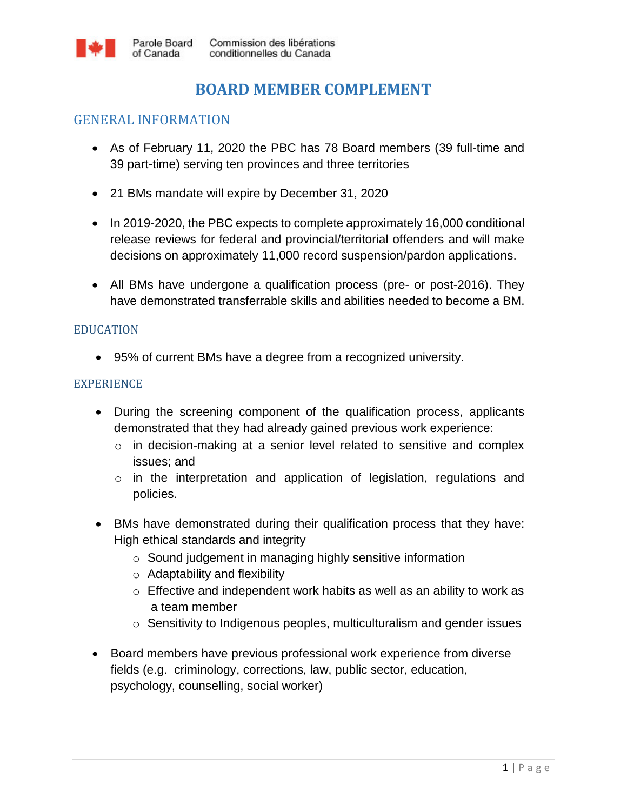# **BOARD MEMBER COMPLEMENT**

## GENERAL INFORMATION

of Canada

- As of February 11, 2020 the PBC has 78 Board members (39 full-time and 39 part-time) serving ten provinces and three territories
- 21 BMs mandate will expire by December 31, 2020
- In 2019-2020, the PBC expects to complete approximately 16,000 conditional release reviews for federal and provincial/territorial offenders and will make decisions on approximately 11,000 record suspension/pardon applications.
- All BMs have undergone a qualification process (pre- or post-2016). They have demonstrated transferrable skills and abilities needed to become a BM.

#### EDUCATION

95% of current BMs have a degree from a recognized university.

#### EXPERIENCE

- During the screening component of the qualification process, applicants demonstrated that they had already gained previous work experience:
	- o in decision-making at a senior level related to sensitive and complex issues; and
	- $\circ$  in the interpretation and application of legislation, regulations and policies.
- BMs have demonstrated during their qualification process that they have: High ethical standards and integrity
	- o Sound judgement in managing highly sensitive information
	- o Adaptability and flexibility
	- o Effective and independent work habits as well as an ability to work as a team member
	- o Sensitivity to Indigenous peoples, multiculturalism and gender issues
- Board members have previous professional work experience from diverse fields (e.g. criminology, corrections, law, public sector, education, psychology, counselling, social worker)